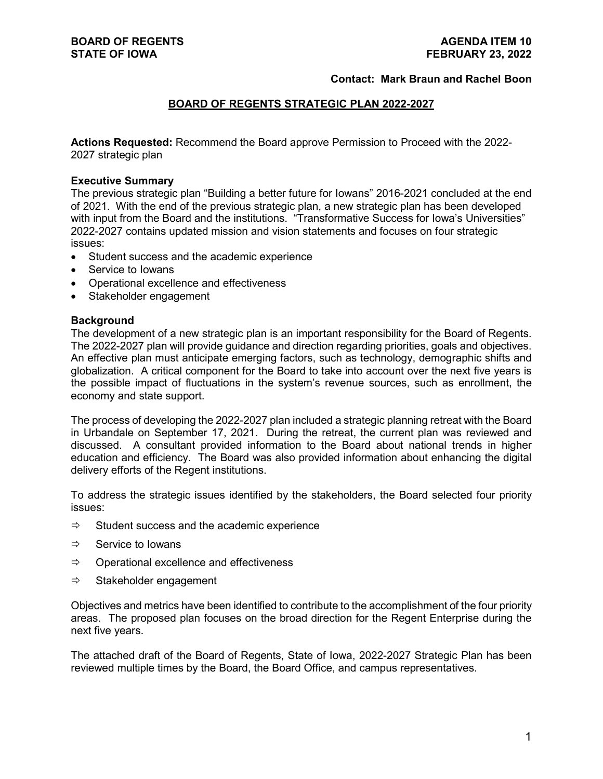## **Contact: Mark Braun and Rachel Boon**

## **BOARD OF REGENTS STRATEGIC PLAN 2022-2027**

**Actions Requested:** Recommend the Board approve Permission to Proceed with the 2022- 2027 strategic plan

#### **Executive Summary**

The previous strategic plan "Building a better future for Iowans" 2016-2021 concluded at the end of 2021. With the end of the previous strategic plan, a new strategic plan has been developed with input from the Board and the institutions. "Transformative Success for Iowa's Universities" 2022-2027 contains updated mission and vision statements and focuses on four strategic issues:

- Student success and the academic experience
- Service to Iowans
- Operational excellence and effectiveness
- Stakeholder engagement

#### **Background**

The development of a new strategic plan is an important responsibility for the Board of Regents. The 2022-2027 plan will provide guidance and direction regarding priorities, goals and objectives. An effective plan must anticipate emerging factors, such as technology, demographic shifts and globalization. A critical component for the Board to take into account over the next five years is the possible impact of fluctuations in the system's revenue sources, such as enrollment, the economy and state support.

The process of developing the 2022-2027 plan included a strategic planning retreat with the Board in Urbandale on September 17, 2021. During the retreat, the current plan was reviewed and discussed. A consultant provided information to the Board about national trends in higher education and efficiency. The Board was also provided information about enhancing the digital delivery efforts of the Regent institutions.

To address the strategic issues identified by the stakeholders, the Board selected four priority issues:

- $\Rightarrow$  Student success and the academic experience
- $\Rightarrow$  Service to Iowans
- $\Rightarrow$  Operational excellence and effectiveness
- $\Rightarrow$  Stakeholder engagement

Objectives and metrics have been identified to contribute to the accomplishment of the four priority areas. The proposed plan focuses on the broad direction for the Regent Enterprise during the next five years.

The attached draft of the Board of Regents, State of Iowa, 2022-2027 Strategic Plan has been reviewed multiple times by the Board, the Board Office, and campus representatives.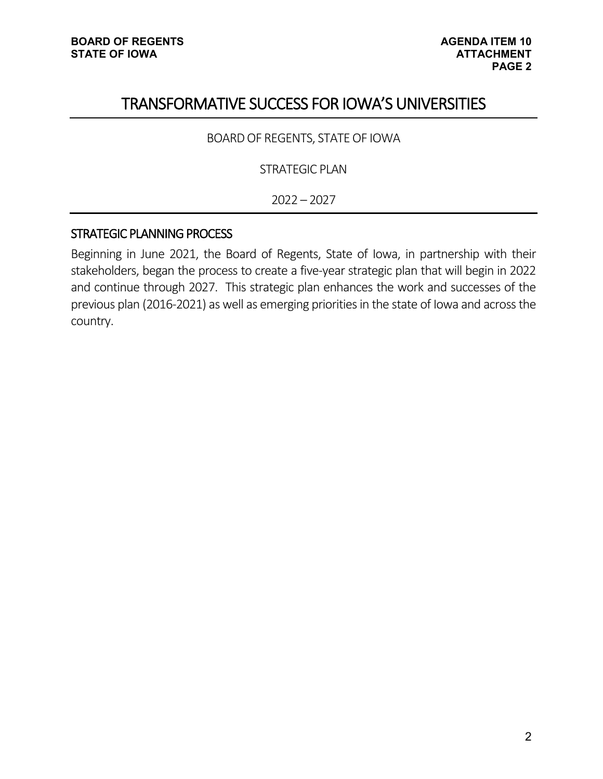# TRANSFORMATIVE SUCCESS FOR IOWA'S UNIVERSITIES

BOARD OF REGENTS, STATE OF IOWA

STRATEGIC PLAN

2022 – 2027

# STRATEGIC PLANNING PROCESS

Beginning in June 2021, the Board of Regents, State of Iowa, in partnership with their stakeholders, began the process to create a five-year strategic plan that will begin in 2022 and continue through 2027. This strategic plan enhances the work and successes of the previous plan (2016-2021) as well as emerging priorities in the state of Iowa and across the country.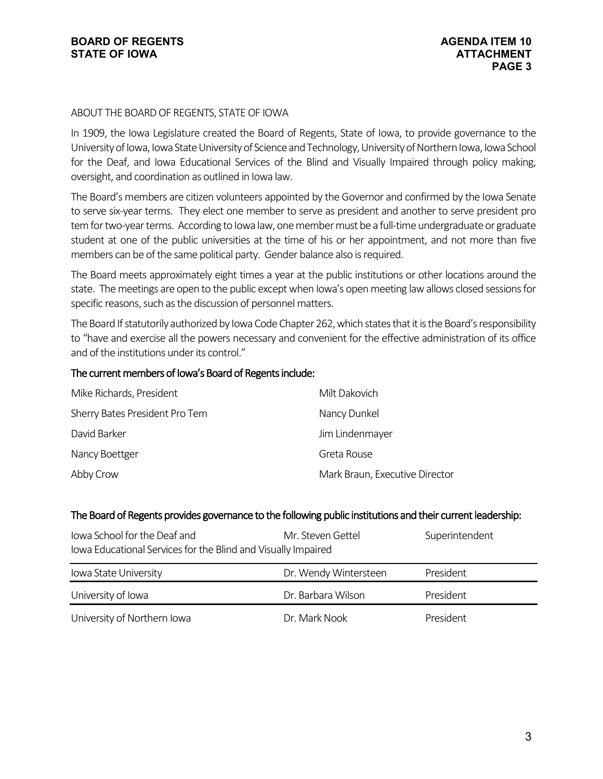## ABOUT THE BOARD OF REGENTS, STATE OF IOWA

In 1909, the Iowa Legislature created the Board of Regents, State of Iowa, to provide governance to the University of Iowa, Iowa State University of Science and Technology, University of Northern Iowa, Iowa School for the Deaf, and Iowa Educational Services of the Blind and Visually Impaired through policy making, oversight, and coordination as outlined in Iowa law.

The Board's members are citizen volunteers appointed by the Governor and confirmed by the Iowa Senate to serve six-year terms. They elect one member to serve as president and another to serve president pro temfor two-year terms. According to Iowa law, one member must be a full-time undergraduate or graduate student at one of the public universities at the time of his or her appointment, and not more than five members can be of the same political party. Gender balance also is required.

The Board meets approximately eight times a year at the public institutions or other locations around the state. The meetings are open to the public except when Iowa's open meeting law allows closed sessions for specific reasons, such as the discussion of personnel matters.

The Board If statutorily authorized by Iowa Code Chapter 262, which states that it is the Board's responsibility to "have and exercise all the powers necessary and convenient for the effective administration of its office and of the institutions under its control."

## The current members of Iowa's Board of Regents include:

| Milt Dakovich                  |
|--------------------------------|
| Nancy Dunkel                   |
| Jim Lindenmayer                |
| Greta Rouse                    |
| Mark Braun, Executive Director |
|                                |

## The Board of Regents provides governance to the following public institutions and their current leadership:

| lowa School for the Deaf and<br>Iowa Educational Services for the Blind and Visually Impaired | Mr. Steven Gettel     | Superintendent   |
|-----------------------------------------------------------------------------------------------|-----------------------|------------------|
| Iowa State University                                                                         | Dr. Wendy Wintersteen | President        |
| University of Iowa                                                                            | Dr. Barbara Wilson    | President        |
| University of Northern Iowa                                                                   | Dr. Mark Nook         | <b>President</b> |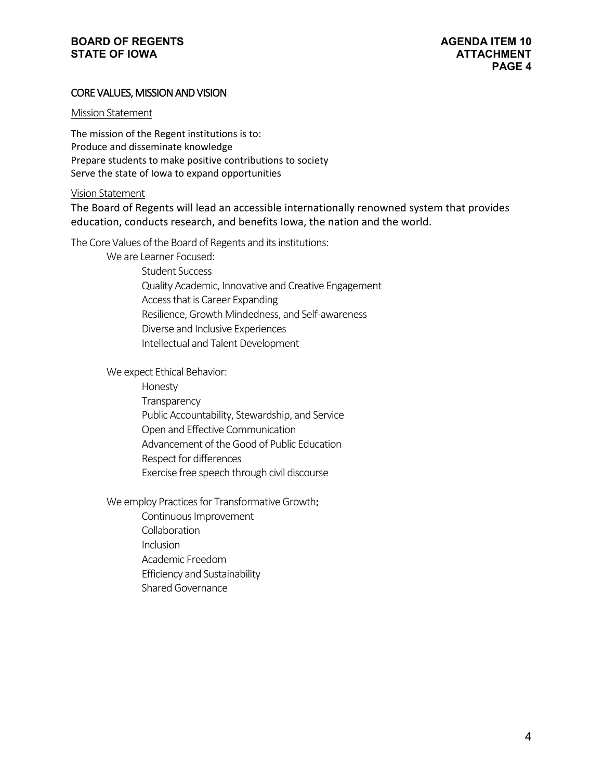# CORE VALUES, MISSION AND VISION

#### Mission Statement

The mission of the Regent institutions is to: Produce and disseminate knowledge Prepare students to make positive contributions to society Serve the state of Iowa to expand opportunities

#### Vision Statement

The Board of Regents will lead an accessible internationally renowned system that provides education, conducts research, and benefits Iowa, the nation and the world.

The Core Values of the Board of Regents and its institutions:

We are Learner Focused: Student Success Quality Academic, Innovative and Creative Engagement Access that is Career Expanding Resilience, Growth Mindedness, and Self-awareness Diverse and Inclusive Experiences Intellectual and Talent Development

We expect Ethical Behavior:

Honesty **Transparency** Public Accountability, Stewardship, and Service Open and Effective Communication Advancement of the Good of Public Education Respect for differences Exercise free speech through civil discourse

We employ Practices for Transformative Growth:

Continuous Improvement

Collaboration

Inclusion

Academic Freedom

Efficiency and Sustainability

Shared Governance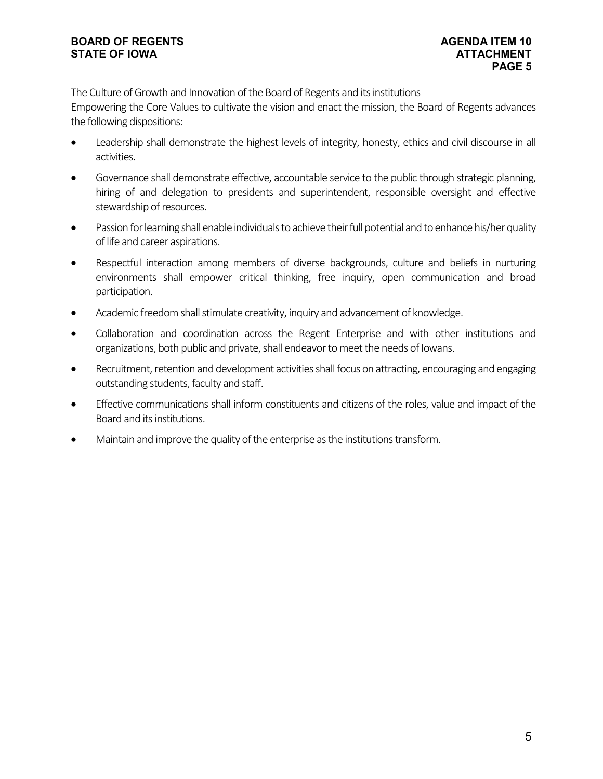The Culture of Growth and Innovation of the Board of Regents and its institutions Empowering the Core Values to cultivate the vision and enact the mission, the Board of Regents advances the following dispositions:

- Leadership shall demonstrate the highest levels of integrity, honesty, ethics and civil discourse in all activities.
- Governance shall demonstrate effective, accountable service to the public through strategic planning, hiring of and delegation to presidents and superintendent, responsible oversight and effective stewardship of resources.
- Passion for learning shall enable individuals to achieve their full potential and to enhance his/her quality of life and career aspirations.
- Respectful interaction among members of diverse backgrounds, culture and beliefs in nurturing environments shall empower critical thinking, free inquiry, open communication and broad participation.
- Academic freedom shall stimulate creativity, inquiry and advancement of knowledge.
- Collaboration and coordination across the Regent Enterprise and with other institutions and organizations, both public and private, shall endeavor to meet the needs of Iowans.
- Recruitment, retention and development activities shall focus on attracting, encouraging and engaging outstanding students, faculty and staff.
- Effective communications shall inform constituents and citizens of the roles, value and impact of the Board and its institutions.
- Maintain and improve the quality of the enterprise as the institutions transform.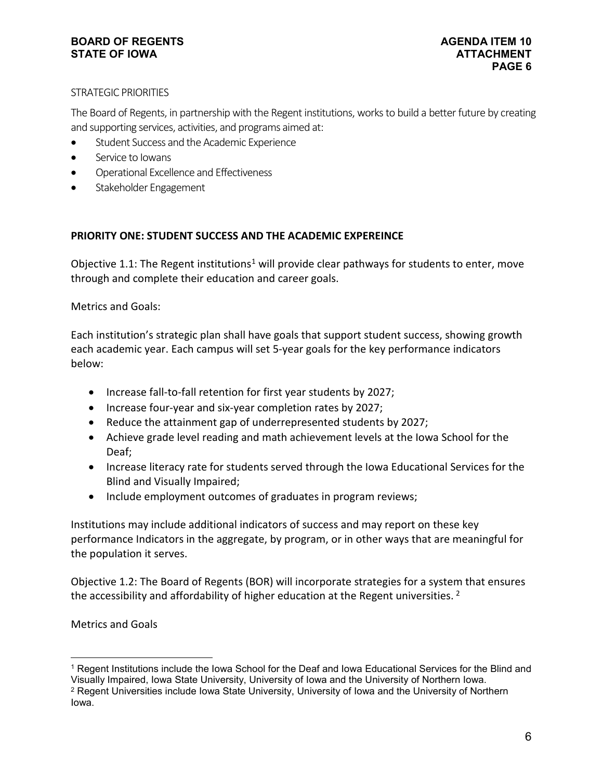## STRATEGIC PRIORITIES

The Board of Regents, in partnership with the Regent institutions, works to build a better future by creating and supporting services, activities, and programs aimed at:

- Student Success and the Academic Experience
- Service to Iowans
- Operational Excellence and Effectiveness
- Stakeholder Engagement

# **PRIORITY ONE: STUDENT SUCCESS AND THE ACADEMIC EXPEREINCE**

Objective [1](#page-5-0).1: The Regent institutions<sup>1</sup> will provide clear pathways for students to enter, move through and complete their education and career goals.

Metrics and Goals:

Each institution's strategic plan shall have goals that support student success, showing growth each academic year. Each campus will set 5-year goals for the key performance indicators below:

- Increase fall-to-fall retention for first year students by 2027;
- Increase four-year and six-year completion rates by 2027;
- Reduce the attainment gap of underrepresented students by 2027;
- Achieve grade level reading and math achievement levels at the Iowa School for the Deaf;
- Increase literacy rate for students served through the Iowa Educational Services for the Blind and Visually Impaired;
- Include employment outcomes of graduates in program reviews;

Institutions may include additional indicators of success and may report on these key performance Indicators in the aggregate, by program, or in other ways that are meaningful for the population it serves.

Objective 1.2: The Board of Regents (BOR) will incorporate strategies for a system that ensures the accessibility and affordability of higher education at the Regent universities.<sup>[2](#page-5-1)</sup>

Metrics and Goals

<span id="page-5-0"></span> <sup>1</sup> Regent Institutions include the Iowa School for the Deaf and Iowa Educational Services for the Blind and Visually Impaired, Iowa State University, University of Iowa and the University of Northern Iowa.

<span id="page-5-1"></span><sup>2</sup> Regent Universities include Iowa State University, University of Iowa and the University of Northern Iowa.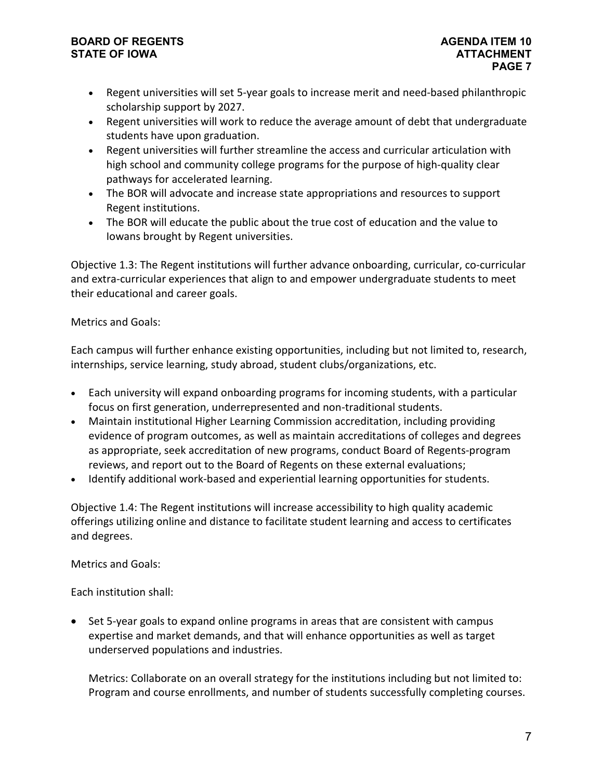- Regent universities will set 5-year goals to increase merit and need-based philanthropic scholarship support by 2027.
- Regent universities will work to reduce the average amount of debt that undergraduate students have upon graduation.
- Regent universities will further streamline the access and curricular articulation with high school and community college programs for the purpose of high-quality clear pathways for accelerated learning.
- The BOR will advocate and increase state appropriations and resources to support Regent institutions.
- The BOR will educate the public about the true cost of education and the value to Iowans brought by Regent universities.

Objective 1.3: The Regent institutions will further advance onboarding, curricular, co-curricular and extra-curricular experiences that align to and empower undergraduate students to meet their educational and career goals.

# Metrics and Goals:

Each campus will further enhance existing opportunities, including but not limited to, research, internships, service learning, study abroad, student clubs/organizations, etc.

- Each university will expand onboarding programs for incoming students, with a particular focus on first generation, underrepresented and non-traditional students.
- Maintain institutional Higher Learning Commission accreditation, including providing evidence of program outcomes, as well as maintain accreditations of colleges and degrees as appropriate, seek accreditation of new programs, conduct Board of Regents-program reviews, and report out to the Board of Regents on these external evaluations;
- Identify additional work-based and experiential learning opportunities for students.

Objective 1.4: The Regent institutions will increase accessibility to high quality academic offerings utilizing online and distance to facilitate student learning and access to certificates and degrees.

Metrics and Goals:

Each institution shall:

• Set 5-year goals to expand online programs in areas that are consistent with campus expertise and market demands, and that will enhance opportunities as well as target underserved populations and industries.

Metrics: Collaborate on an overall strategy for the institutions including but not limited to: Program and course enrollments, and number of students successfully completing courses.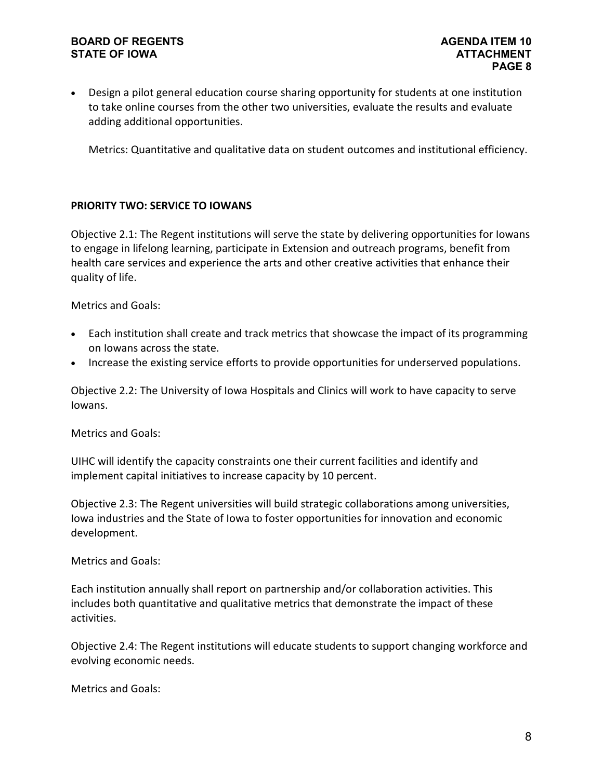• Design a pilot general education course sharing opportunity for students at one institution to take online courses from the other two universities, evaluate the results and evaluate adding additional opportunities.

Metrics: Quantitative and qualitative data on student outcomes and institutional efficiency.

# **PRIORITY TWO: SERVICE TO IOWANS**

Objective 2.1: The Regent institutions will serve the state by delivering opportunities for Iowans to engage in lifelong learning, participate in Extension and outreach programs, benefit from health care services and experience the arts and other creative activities that enhance their quality of life.

Metrics and Goals:

- Each institution shall create and track metrics that showcase the impact of its programming on Iowans across the state.
- Increase the existing service efforts to provide opportunities for underserved populations.

Objective 2.2: The University of Iowa Hospitals and Clinics will work to have capacity to serve Iowans.

Metrics and Goals:

UIHC will identify the capacity constraints one their current facilities and identify and implement capital initiatives to increase capacity by 10 percent.

Objective 2.3: The Regent universities will build strategic collaborations among universities, Iowa industries and the State of Iowa to foster opportunities for innovation and economic development.

Metrics and Goals:

Each institution annually shall report on partnership and/or collaboration activities. This includes both quantitative and qualitative metrics that demonstrate the impact of these activities.

Objective 2.4: The Regent institutions will educate students to support changing workforce and evolving economic needs.

Metrics and Goals: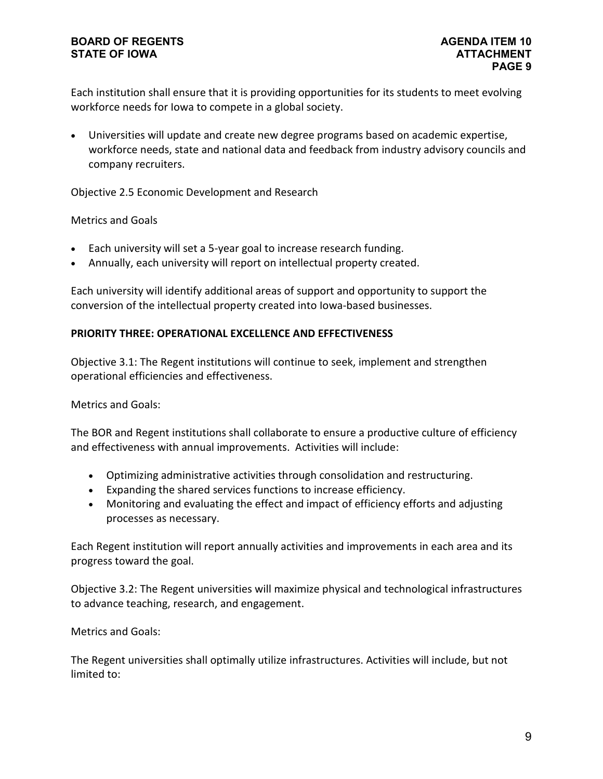Each institution shall ensure that it is providing opportunities for its students to meet evolving workforce needs for Iowa to compete in a global society.

• Universities will update and create new degree programs based on academic expertise, workforce needs, state and national data and feedback from industry advisory councils and company recruiters.

Objective 2.5 Economic Development and Research

# Metrics and Goals

- Each university will set a 5-year goal to increase research funding.
- Annually, each university will report on intellectual property created.

Each university will identify additional areas of support and opportunity to support the conversion of the intellectual property created into Iowa-based businesses.

## **PRIORITY THREE: OPERATIONAL EXCELLENCE AND EFFECTIVENESS**

Objective 3.1: The Regent institutions will continue to seek, implement and strengthen operational efficiencies and effectiveness.

Metrics and Goals:

The BOR and Regent institutions shall collaborate to ensure a productive culture of efficiency and effectiveness with annual improvements. Activities will include:

- Optimizing administrative activities through consolidation and restructuring.
- Expanding the shared services functions to increase efficiency.
- Monitoring and evaluating the effect and impact of efficiency efforts and adjusting processes as necessary.

Each Regent institution will report annually activities and improvements in each area and its progress toward the goal.

Objective 3.2: The Regent universities will maximize physical and technological infrastructures to advance teaching, research, and engagement.

Metrics and Goals:

The Regent universities shall optimally utilize infrastructures. Activities will include, but not limited to: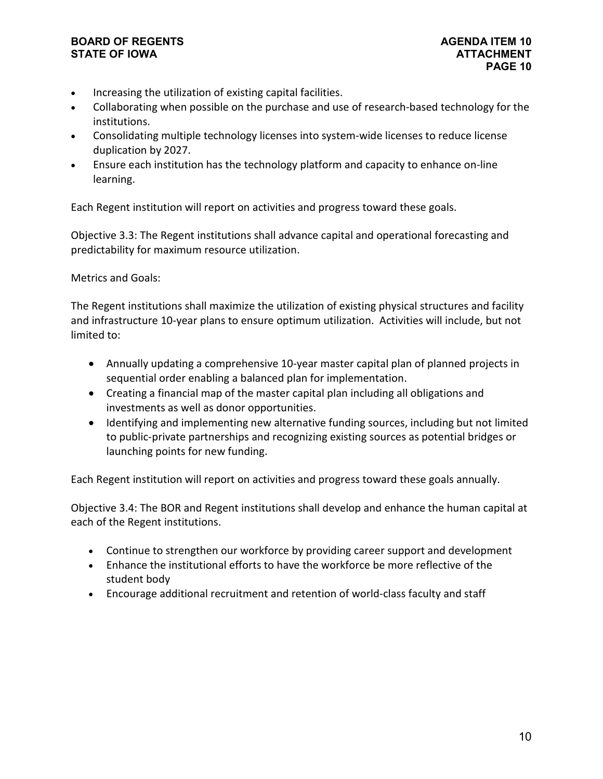- Increasing the utilization of existing capital facilities.
- Collaborating when possible on the purchase and use of research-based technology for the institutions.
- Consolidating multiple technology licenses into system-wide licenses to reduce license duplication by 2027.
- Ensure each institution has the technology platform and capacity to enhance on-line learning.

Each Regent institution will report on activities and progress toward these goals.

Objective 3.3: The Regent institutions shall advance capital and operational forecasting and predictability for maximum resource utilization.

# Metrics and Goals:

The Regent institutions shall maximize the utilization of existing physical structures and facility and infrastructure 10-year plans to ensure optimum utilization. Activities will include, but not limited to:

- Annually updating a comprehensive 10-year master capital plan of planned projects in sequential order enabling a balanced plan for implementation.
- Creating a financial map of the master capital plan including all obligations and investments as well as donor opportunities.
- Identifying and implementing new alternative funding sources, including but not limited to public-private partnerships and recognizing existing sources as potential bridges or launching points for new funding.

Each Regent institution will report on activities and progress toward these goals annually.

Objective 3.4: The BOR and Regent institutions shall develop and enhance the human capital at each of the Regent institutions.

- Continue to strengthen our workforce by providing career support and development
- Enhance the institutional efforts to have the workforce be more reflective of the student body
- Encourage additional recruitment and retention of world-class faculty and staff